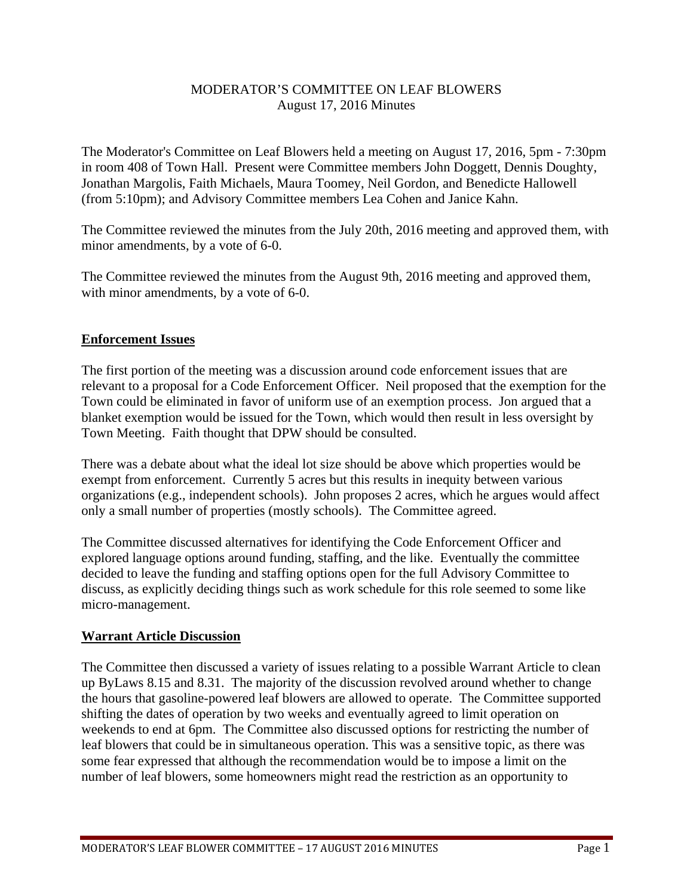## MODERATOR'S COMMITTEE ON LEAF BLOWERS August 17, 2016 Minutes

The Moderator's Committee on Leaf Blowers held a meeting on August 17, 2016, 5pm - 7:30pm in room 408 of Town Hall. Present were Committee members John Doggett, Dennis Doughty, Jonathan Margolis, Faith Michaels, Maura Toomey, Neil Gordon, and Benedicte Hallowell (from 5:10pm); and Advisory Committee members Lea Cohen and Janice Kahn.

The Committee reviewed the minutes from the July 20th, 2016 meeting and approved them, with minor amendments, by a vote of 6-0.

The Committee reviewed the minutes from the August 9th, 2016 meeting and approved them, with minor amendments, by a vote of 6-0.

## **Enforcement Issues**

The first portion of the meeting was a discussion around code enforcement issues that are relevant to a proposal for a Code Enforcement Officer. Neil proposed that the exemption for the Town could be eliminated in favor of uniform use of an exemption process. Jon argued that a blanket exemption would be issued for the Town, which would then result in less oversight by Town Meeting. Faith thought that DPW should be consulted.

There was a debate about what the ideal lot size should be above which properties would be exempt from enforcement. Currently 5 acres but this results in inequity between various organizations (e.g., independent schools). John proposes 2 acres, which he argues would affect only a small number of properties (mostly schools). The Committee agreed.

The Committee discussed alternatives for identifying the Code Enforcement Officer and explored language options around funding, staffing, and the like. Eventually the committee decided to leave the funding and staffing options open for the full Advisory Committee to discuss, as explicitly deciding things such as work schedule for this role seemed to some like micro-management.

## **Warrant Article Discussion**

The Committee then discussed a variety of issues relating to a possible Warrant Article to clean up ByLaws 8.15 and 8.31. The majority of the discussion revolved around whether to change the hours that gasoline-powered leaf blowers are allowed to operate. The Committee supported shifting the dates of operation by two weeks and eventually agreed to limit operation on weekends to end at 6pm. The Committee also discussed options for restricting the number of leaf blowers that could be in simultaneous operation. This was a sensitive topic, as there was some fear expressed that although the recommendation would be to impose a limit on the number of leaf blowers, some homeowners might read the restriction as an opportunity to